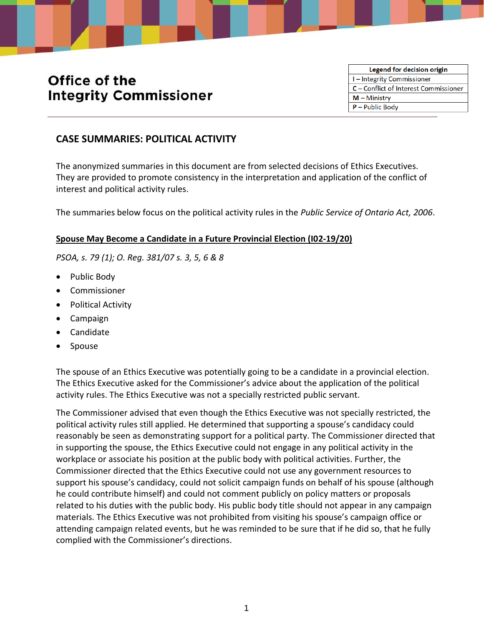# Office of the **Integrity Commissioner**

Legend for decision origin I-Integrity Commissioner C - Conflict of Interest Commissioner  $M -$ Ministry  $P -$  Public Body

# **CASE SUMMARIES: POLITICAL ACTIVITY**

The anonymized summaries in this document are from selected decisions of Ethics Executives. They are provided to promote consistency in the interpretation and application of the conflict of interest and political activity rules.

The summaries below focus on the political activity rules in the *Public Service of Ontario Act, 2006*.

#### **Spouse May Become a Candidate in a Future Provincial Election (I02-19/20)**

*PSOA, s. 79 (1); O. Reg. 381/07 s. 3, 5, 6 & 8*

- Public Body
- Commissioner
- Political Activity
- Campaign
- Candidate
- Spouse

The spouse of an Ethics Executive was potentially going to be a candidate in a provincial election. The Ethics Executive asked for the Commissioner's advice about the application of the political activity rules. The Ethics Executive was not a specially restricted public servant.

The Commissioner advised that even though the Ethics Executive was not specially restricted, the political activity rules still applied. He determined that supporting a spouse's candidacy could reasonably be seen as demonstrating support for a political party. The Commissioner directed that in supporting the spouse, the Ethics Executive could not engage in any political activity in the workplace or associate his position at the public body with political activities. Further, the Commissioner directed that the Ethics Executive could not use any government resources to support his spouse's candidacy, could not solicit campaign funds on behalf of his spouse (although he could contribute himself) and could not comment publicly on policy matters or proposals related to his duties with the public body. His public body title should not appear in any campaign materials. The Ethics Executive was not prohibited from visiting his spouse's campaign office or attending campaign related events, but he was reminded to be sure that if he did so, that he fully complied with the Commissioner's directions.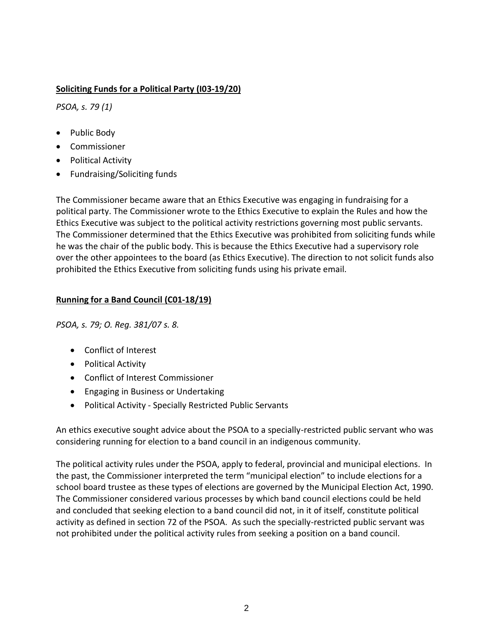## **Soliciting Funds for a Political Party (I03-19/20)**

*PSOA, s. 79 (1)*

- Public Body
- Commissioner
- Political Activity
- Fundraising/Soliciting funds

The Commissioner became aware that an Ethics Executive was engaging in fundraising for a political party. The Commissioner wrote to the Ethics Executive to explain the Rules and how the Ethics Executive was subject to the political activity restrictions governing most public servants. The Commissioner determined that the Ethics Executive was prohibited from soliciting funds while he was the chair of the public body. This is because the Ethics Executive had a supervisory role over the other appointees to the board (as Ethics Executive). The direction to not solicit funds also prohibited the Ethics Executive from soliciting funds using his private email.

# **Running for a Band Council (C01-18/19)**

*PSOA, s. 79; O. Reg. 381/07 s. 8.*

- Conflict of [Interest](http://www.coicommissioner.gov.on.ca/category/type-of-ethical-matter/conflict-of-interest/)
- [Political](http://www.coicommissioner.gov.on.ca/category/type-of-ethical-matter/political-activity/) Activity
- [Conflict](http://www.coicommissioner.gov.on.ca/category/source-of-decision/ministry/) of Interest Commissioner
- Engaging in Business or [Undertaking](http://www.coicommissioner.gov.on.ca/category/type-of-rule/engaging-in-business-or-undertaking/)
- Political Activity Specially [Restricted](http://www.coicommissioner.gov.on.ca/category/type-of-rule/political-activity-all-other-public-servants/) Public Servants

An ethics executive sought advice about the PSOA to a specially-restricted public servant who was considering running for election to a band council in an indigenous community.

The political activity rules under the PSOA, apply to federal, provincial and municipal elections. In the past, the Commissioner interpreted the term "municipal election" to include elections for a school board trustee as these types of elections are governed by the Municipal Election Act, 1990. The Commissioner considered various processes by which band council elections could be held and concluded that seeking election to a band council did not, in it of itself, constitute political activity as defined in section 72 of the PSOA. As such the specially-restricted public servant was not prohibited under the political activity rules from seeking a position on a band council.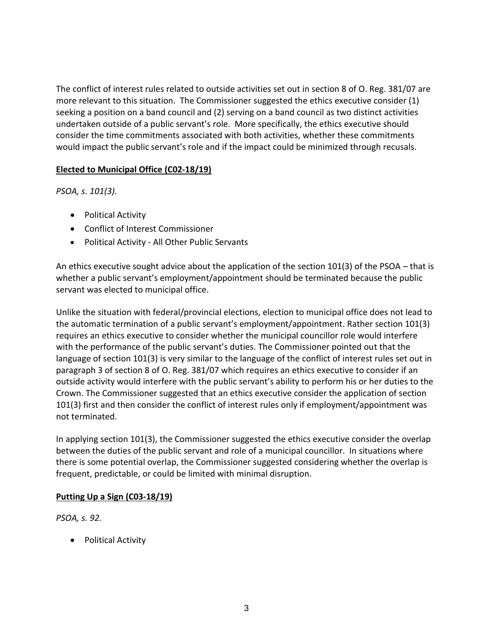The conflict of interest rules related to outside activities set out in section 8 of O. Reg. 381/07 are more relevant to this situation. The Commissioner suggested the ethics executive consider (1) seeking a position on a band council and (2) serving on a band council as two distinct activities undertaken outside of a public servant's role. More specifically, the ethics executive should consider the time commitments associated with both activities, whether these commitments would impact the public servant's role and if the impact could be minimized through recusals.

#### **Elected to Municipal Office (C02-18/19)**

*PSOA, s. 101(3).*

- Political Activity
- Conflict of Interest Commissioner
- Political Activity All Other Public [Servants](http://www.coicommissioner.gov.on.ca/category/type-of-rule/political-activity-all-other-public-servants/)

An ethics executive sought advice about the application of the section 101(3) of the PSOA – that is whether a public servant's employment/appointment should be terminated because the public servant was elected to municipal office.

Unlike the situation with federal/provincial elections, election to municipal office does not lead to the automatic termination of a public servant's employment/appointment. Rather section 101(3) requires an ethics executive to consider whether the municipal councillor role would interfere with the performance of the public servant's duties. The Commissioner pointed out that the language of section 101(3) is very similar to the language of the conflict of interest rules set out in paragraph 3 of section 8 of O. Reg. 381/07 which requires an ethics executive to consider if an outside activity would interfere with the public servant's ability to perform his or her duties to the Crown. The Commissioner suggested that an ethics executive consider the application of section 101(3) first and then consider the conflict of interest rules only if employment/appointment was not terminated.

In applying section 101(3), the Commissioner suggested the ethics executive consider the overlap between the duties of the public servant and role of a municipal councillor. In situations where there is some potential overlap, the Commissioner suggested considering whether the overlap is frequent, predictable, or could be limited with minimal disruption.

#### **Putting Up a Sign (C03-18/19)**

*PSOA, s. 92.*

• Political Activity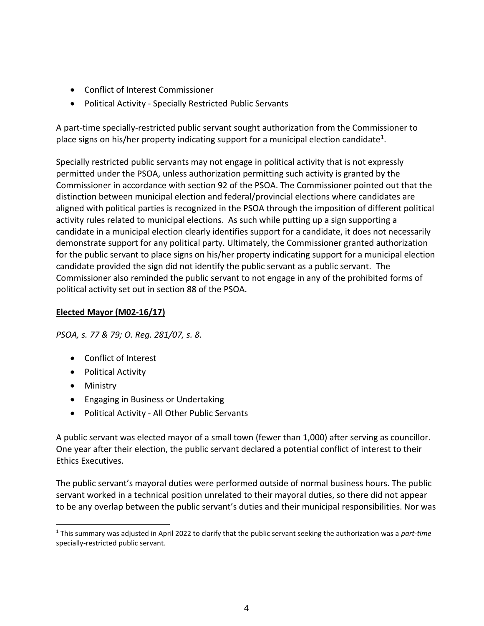- Conflict of Interest Commissioner
- Political Activity Specially [Restricted](http://www.coicommissioner.gov.on.ca/category/type-of-rule/political-activity-all-other-public-servants/) Public Servants

A part-time specially-restricted public servant sought authorization from the Commissioner to place signs on his/her property indicating support for a municipal election candidate<sup>1</sup>.

Specially restricted public servants may not engage in political activity that is not expressly permitted under the PSOA, unless authorization permitting such activity is granted by the Commissioner in accordance with section 92 of the PSOA. The Commissioner pointed out that the distinction between municipal election and federal/provincial elections where candidates are aligned with political parties is recognized in the PSOA through the imposition of different political activity rules related to municipal elections. As such while putting up a sign supporting a candidate in a municipal election clearly identifies support for a candidate, it does not necessarily demonstrate support for any political party. Ultimately, the Commissioner granted authorization for the public servant to place signs on his/her property indicating support for a municipal election candidate provided the sign did not identify the public servant as a public servant. The Commissioner also reminded the public servant to not engage in any of the prohibited forms of political activity set out in section 88 of the PSOA.

## **Elected Mayor (M02-16/17)**

*PSOA, s. 77 & 79; O. Reg. 281/07, s. 8.*

- Conflict of [Interest](http://www.coicommissioner.gov.on.ca/category/type-of-ethical-matter/conflict-of-interest/)
- [Political](http://www.coicommissioner.gov.on.ca/category/type-of-ethical-matter/political-activity/) Activity
- [Ministry](http://www.coicommissioner.gov.on.ca/category/source-of-decision/ministry/)
- Engaging in Business or [Undertaking](http://www.coicommissioner.gov.on.ca/category/type-of-rule/engaging-in-business-or-undertaking/)
- Political Activity All Other Public [Servants](http://www.coicommissioner.gov.on.ca/category/type-of-rule/political-activity-all-other-public-servants/)

A public servant was elected mayor of a small town (fewer than 1,000) after serving as councillor. One year after their election, the public servant declared a potential conflict of interest to their Ethics Executives.

The public servant's mayoral duties were performed outside of normal business hours. The public servant worked in a technical position unrelated to their mayoral duties, so there did not appear to be any overlap between the public servant's duties and their municipal responsibilities. Nor was

<sup>1</sup> This summary was adjusted in April 2022 to clarify that the public servant seeking the authorization was a *part-time* specially-restricted public servant.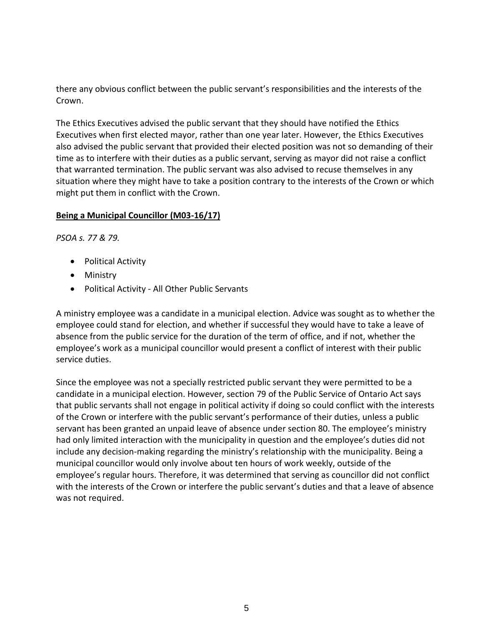there any obvious conflict between the public servant's responsibilities and the interests of the Crown.

The Ethics Executives advised the public servant that they should have notified the Ethics Executives when first elected mayor, rather than one year later. However, the Ethics Executives also advised the public servant that provided their elected position was not so demanding of their time as to interfere with their duties as a public servant, serving as mayor did not raise a conflict that warranted termination. The public servant was also advised to recuse themselves in any situation where they might have to take a position contrary to the interests of the Crown or which might put them in conflict with the Crown.

#### **Being a Municipal Councillor (M03-16/17)**

*PSOA s. 77 & 79.*

- [Political](http://www.coicommissioner.gov.on.ca/category/type-of-ethical-matter/political-activity/) Activity
- [Ministry](http://www.coicommissioner.gov.on.ca/category/source-of-decision/ministry/)
- Political Activity All Other Public [Servants](http://www.coicommissioner.gov.on.ca/category/type-of-rule/political-activity-all-other-public-servants/)

A ministry employee was a candidate in a municipal election. Advice was sought as to whether the employee could stand for election, and whether if successful they would have to take a leave of absence from the public service for the duration of the term of office, and if not, whether the employee's work as a municipal councillor would present a conflict of interest with their public service duties.

Since the employee was not a specially restricted public servant they were permitted to be a candidate in a municipal election. However, section 79 of the Public Service of Ontario Act says that public servants shall not engage in political activity if doing so could conflict with the interests of the Crown or interfere with the public servant's performance of their duties, unless a public servant has been granted an unpaid leave of absence under section 80. The employee's ministry had only limited interaction with the municipality in question and the employee's duties did not include any decision-making regarding the ministry's relationship with the municipality. Being a municipal councillor would only involve about ten hours of work weekly, outside of the employee's regular hours. Therefore, it was determined that serving as councillor did not conflict with the interests of the Crown or interfere the public servant's duties and that a leave of absence was not required.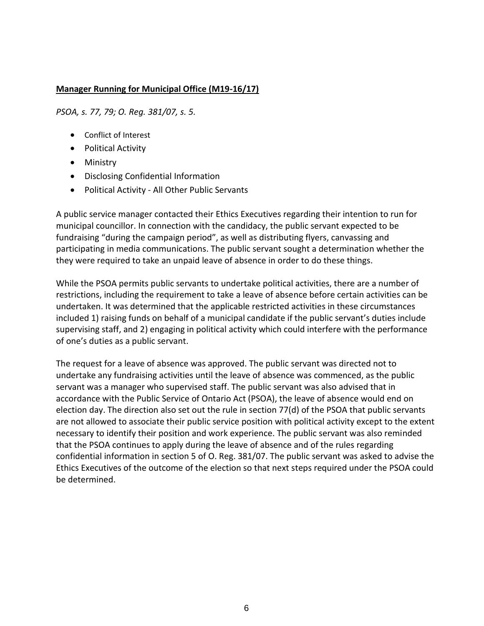#### **Manager Running for Municipal Office (M19-16/17)**

*PSOA, s. 77, 79; O. Reg. 381/07, s. 5.*

- Conflict of Interest
- [Political](http://www.coicommissioner.gov.on.ca/category/type-of-ethical-matter/political-activity/) Activity
- [Ministry](http://www.coicommissioner.gov.on.ca/category/source-of-decision/ministry/)
- Disclosing [Confidential](http://www.coicommissioner.gov.on.ca/category/type-of-rule/disclosing-confidential-information/) Information
- Political Activity All Other Public [Servants](http://www.coicommissioner.gov.on.ca/category/type-of-rule/political-activity-all-other-public-servants/)

A public service manager contacted their Ethics Executives regarding their intention to run for municipal councillor. In connection with the candidacy, the public servant expected to be fundraising "during the campaign period", as well as distributing flyers, canvassing and participating in media communications. The public servant sought a determination whether the they were required to take an unpaid leave of absence in order to do these things.

While the PSOA permits public servants to undertake political activities, there are a number of restrictions, including the requirement to take a leave of absence before certain activities can be undertaken. It was determined that the applicable restricted activities in these circumstances included 1) raising funds on behalf of a municipal candidate if the public servant's duties include supervising staff, and 2) engaging in political activity which could interfere with the performance of one's duties as a public servant.

The request for a leave of absence was approved. The public servant was directed not to undertake any fundraising activities until the leave of absence was commenced, as the public servant was a manager who supervised staff. The public servant was also advised that in accordance with the Public Service of Ontario Act (PSOA), the leave of absence would end on election day. The direction also set out the rule in section 77(d) of the PSOA that public servants are not allowed to associate their public service position with political activity except to the extent necessary to identify their position and work experience. The public servant was also reminded that the PSOA continues to apply during the leave of absence and of the rules regarding confidential information in section 5 of O. Reg. 381/07. The public servant was asked to advise the Ethics Executives of the outcome of the election so that next steps required under the PSOA could be determined.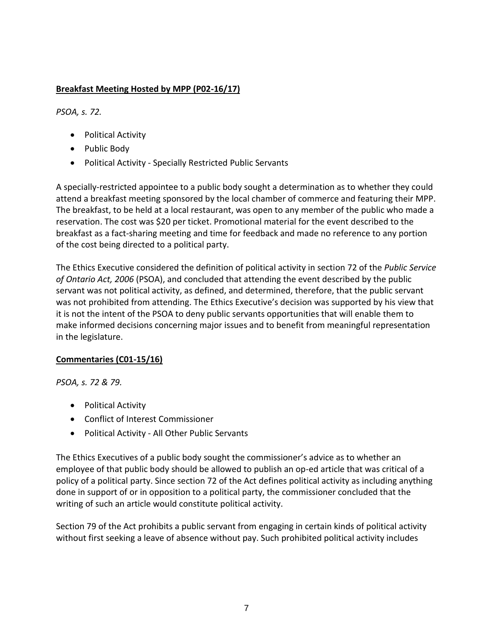# **Breakfast Meeting Hosted by MPP (P02-16/17)**

*PSOA, s. 72.*

- [Political](http://www.coicommissioner.gov.on.ca/category/type-of-ethical-matter/political-activity/) Activity
- [Public](http://www.coicommissioner.gov.on.ca/category/source-of-decision/public-body/) Body
- Political Activity Specially [Restricted](http://www.coicommissioner.gov.on.ca/category/type-of-rule/political-activity-specially-restricted-public-servants/) Public Servants

A specially-restricted appointee to a public body sought a determination as to whether they could attend a breakfast meeting sponsored by the local chamber of commerce and featuring their MPP. The breakfast, to be held at a local restaurant, was open to any member of the public who made a reservation. The cost was \$20 per ticket. Promotional material for the event described to the breakfast as a fact-sharing meeting and time for feedback and made no reference to any portion of the cost being directed to a political party.

The Ethics Executive considered the definition of political activity in section 72 of the *Public Service of Ontario Act, 2006* (PSOA), and concluded that attending the event described by the public servant was not political activity, as defined, and determined, therefore, that the public servant was not prohibited from attending. The Ethics Executive's decision was supported by his view that it is not the intent of the PSOA to deny public servants opportunities that will enable them to make informed decisions concerning major issues and to benefit from meaningful representation in the legislature.

#### **Commentaries (C01-15/16)**

*PSOA, s. 72 & 79.*

- [Political](http://www.coicommissioner.gov.on.ca/category/type-of-ethical-matter/political-activity/) Activity
- Conflict of Interest [Commissioner](http://www.coicommissioner.gov.on.ca/category/source-of-decision/conflict-of-interest-commissioner/)
- Political Activity All Other Public [Servants](http://www.coicommissioner.gov.on.ca/category/type-of-rule/political-activity-all-other-public-servants/)

The Ethics Executives of a public body sought the commissioner's advice as to whether an employee of that public body should be allowed to publish an op-ed article that was critical of a policy of a political party. Since section 72 of the Act defines political activity as including anything done in support of or in opposition to a political party, the commissioner concluded that the writing of such an article would constitute political activity.

Section 79 of the Act prohibits a public servant from engaging in certain kinds of political activity without first seeking a leave of absence without pay. Such prohibited political activity includes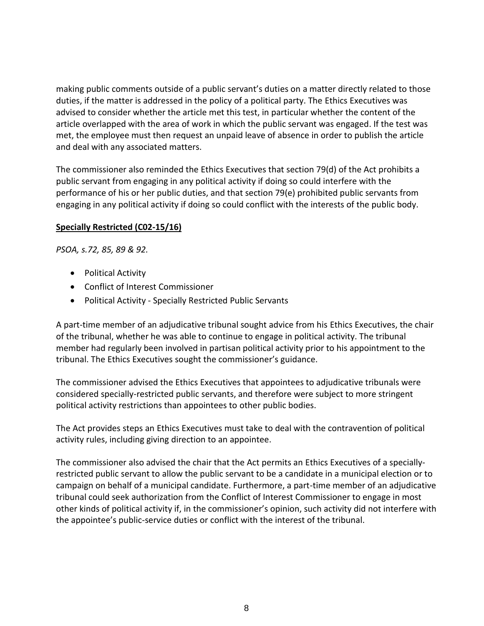making public comments outside of a public servant's duties on a matter directly related to those duties, if the matter is addressed in the policy of a political party. The Ethics Executives was advised to consider whether the article met this test, in particular whether the content of the article overlapped with the area of work in which the public servant was engaged. If the test was met, the employee must then request an unpaid leave of absence in order to publish the article and deal with any associated matters.

The commissioner also reminded the Ethics Executives that section 79(d) of the Act prohibits a public servant from engaging in any political activity if doing so could interfere with the performance of his or her public duties, and that section 79(e) prohibited public servants from engaging in any political activity if doing so could conflict with the interests of the public body.

#### **Specially Restricted (C02-15/16)**

*PSOA, s.72, 85, 89 & 92.*

- [Political](http://www.coicommissioner.gov.on.ca/category/type-of-ethical-matter/political-activity/) Activity
- Conflict of Interest [Commissioner](http://www.coicommissioner.gov.on.ca/category/source-of-decision/conflict-of-interest-commissioner/)
- Political Activity Specially [Restricted](http://www.coicommissioner.gov.on.ca/category/type-of-rule/political-activity-specially-restricted-public-servants/) Public Servants

A part-time member of an adjudicative tribunal sought advice from his Ethics Executives, the chair of the tribunal, whether he was able to continue to engage in political activity. The tribunal member had regularly been involved in partisan political activity prior to his appointment to the tribunal. The Ethics Executives sought the commissioner's guidance.

The commissioner advised the Ethics Executives that appointees to adjudicative tribunals were considered specially-restricted public servants, and therefore were subject to more stringent political activity restrictions than appointees to other public bodies.

The Act provides steps an Ethics Executives must take to deal with the contravention of political activity rules, including giving direction to an appointee.

The commissioner also advised the chair that the Act permits an Ethics Executives of a speciallyrestricted public servant to allow the public servant to be a candidate in a municipal election or to campaign on behalf of a municipal candidate. Furthermore, a part-time member of an adjudicative tribunal could seek authorization from the Conflict of Interest Commissioner to engage in most other kinds of political activity if, in the commissioner's opinion, such activity did not interfere with the appointee's public-service duties or conflict with the interest of the tribunal.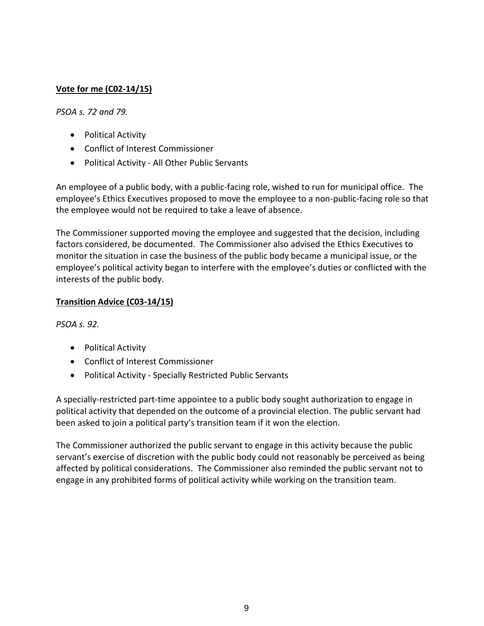# **Vote for me (C02-14/15)**

#### *PSOA s. 72 and 79.*

- [Political](http://www.coicommissioner.gov.on.ca/category/type-of-ethical-matter/political-activity/) Activity
- Conflict of Interest [Commissioner](http://www.coicommissioner.gov.on.ca/category/source-of-decision/conflict-of-interest-commissioner/)
- Political Activity All Other Public [Servants](http://www.coicommissioner.gov.on.ca/category/type-of-rule/political-activity-all-other-public-servants/)

An employee of a public body, with a public-facing role, wished to run for municipal office. The employee's Ethics Executives proposed to move the employee to a non-public-facing role so that the employee would not be required to take a leave of absence.

The Commissioner supported moving the employee and suggested that the decision, including factors considered, be documented. The Commissioner also advised the Ethics Executives to monitor the situation in case the business of the public body became a municipal issue, or the employee's political activity began to interfere with the employee's duties or conflicted with the interests of the public body.

#### **Transition Advice (C03-14/15)**

*PSOA s. 92.*

- [Political](http://www.coicommissioner.gov.on.ca/category/type-of-ethical-matter/political-activity/) Activity
- Conflict of Interest [Commissioner](http://www.coicommissioner.gov.on.ca/category/source-of-decision/conflict-of-interest-commissioner/)
- Political Activity Specially [Restricted](http://www.coicommissioner.gov.on.ca/category/type-of-rule/political-activity-specially-restricted-public-servants/) Public Servants

A specially-restricted part-time appointee to a public body sought authorization to engage in political activity that depended on the outcome of a provincial election. The public servant had been asked to join a political party's transition team if it won the election.

The Commissioner authorized the public servant to engage in this activity because the public servant's exercise of discretion with the public body could not reasonably be perceived as being affected by political considerations. The Commissioner also reminded the public servant not to engage in any prohibited forms of political activity while working on the transition team.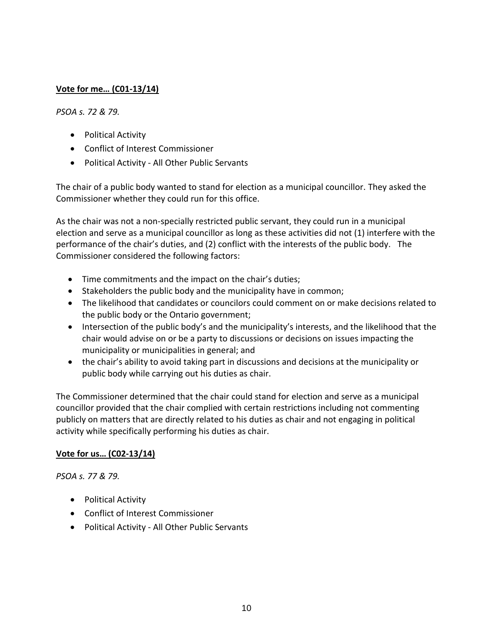## **Vote for me… (C01-13/14)**

#### *PSOA s. 72 & 79.*

- [Political](http://www.coicommissioner.gov.on.ca/category/type-of-ethical-matter/political-activity/) Activity
- Conflict of Interest [Commissioner](http://www.coicommissioner.gov.on.ca/category/source-of-decision/conflict-of-interest-commissioner/)
- Political Activity All Other Public [Servants](http://www.coicommissioner.gov.on.ca/category/type-of-rule/political-activity-all-other-public-servants/)

The chair of a public body wanted to stand for election as a municipal councillor. They asked the Commissioner whether they could run for this office.

As the chair was not a non-specially restricted public servant, they could run in a municipal election and serve as a municipal councillor as long as these activities did not (1) interfere with the performance of the chair's duties, and (2) conflict with the interests of the public body. The Commissioner considered the following factors:

- Time commitments and the impact on the chair's duties;
- Stakeholders the public body and the municipality have in common;
- The likelihood that candidates or councilors could comment on or make decisions related to the public body or the Ontario government;
- Intersection of the public body's and the municipality's interests, and the likelihood that the chair would advise on or be a party to discussions or decisions on issues impacting the municipality or municipalities in general; and
- the chair's ability to avoid taking part in discussions and decisions at the municipality or public body while carrying out his duties as chair.

The Commissioner determined that the chair could stand for election and serve as a municipal councillor provided that the chair complied with certain restrictions including not commenting publicly on matters that are directly related to his duties as chair and not engaging in political activity while specifically performing his duties as chair.

#### **Vote for us… (C02-13/14)**

*PSOA s. 77 & 79.*

- [Political](http://www.coicommissioner.gov.on.ca/category/type-of-ethical-matter/political-activity/) Activity
- Conflict of Interest [Commissioner](http://www.coicommissioner.gov.on.ca/category/type-of-ethical-matter/political-activity/)
- Political Activity All Other Public [Servants](http://www.coicommissioner.gov.on.ca/category/type-of-rule/political-activity-all-other-public-servants/)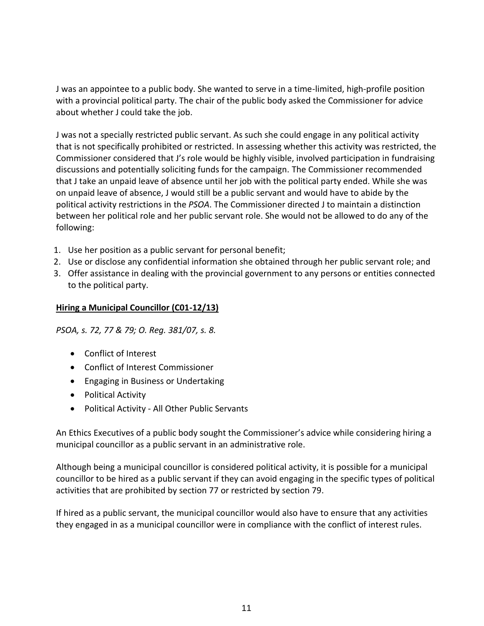J was an appointee to a public body. She wanted to serve in a time-limited, high-profile position with a provincial political party. The chair of the public body asked the Commissioner for advice about whether J could take the job.

J was not a specially restricted public servant. As such she could engage in any political activity that is not specifically prohibited or restricted. In assessing whether this activity was restricted, the Commissioner considered that J's role would be highly visible, involved participation in fundraising discussions and potentially soliciting funds for the campaign. The Commissioner recommended that J take an unpaid leave of absence until her job with the political party ended. While she was on unpaid leave of absence, J would still be a public servant and would have to abide by the political activity restrictions in the *PSOA*. The Commissioner directed J to maintain a distinction between her political role and her public servant role. She would not be allowed to do any of the following:

- 1. Use her position as a public servant for personal benefit;
- 2. Use or disclose any confidential information she obtained through her public servant role; and
- 3. Offer assistance in dealing with the provincial government to any persons or entities connected to the political party.

#### **Hiring a Municipal Councillor (C01-12/13)**

*PSOA, s. 72, 77 & 79; O. Reg. 381/07, s. 8.*

- Conflict of [Interest](http://www.coicommissioner.gov.on.ca/category/type-of-ethical-matter/conflict-of-interest/)
- Conflict of Interest [Commissioner](http://www.coicommissioner.gov.on.ca/category/source-of-decision/conflict-of-interest-commissioner/)
- Engaging in Business or [Undertaking](http://www.coicommissioner.gov.on.ca/category/type-of-rule/engaging-in-business-or-undertaking/)
- [Political](http://www.coicommissioner.gov.on.ca/category/type-of-ethical-matter/political-activity/) Activity
- Political Activity All Other Public [Servants](http://www.coicommissioner.gov.on.ca/category/type-of-rule/political-activity-all-other-public-servants/)

An Ethics Executives of a public body sought the Commissioner's advice while considering hiring a municipal councillor as a public servant in an administrative role.

Although being a municipal councillor is considered political activity, it is possible for a municipal councillor to be hired as a public servant if they can avoid engaging in the specific types of political activities that are prohibited by section 77 or restricted by section 79.

If hired as a public servant, the municipal councillor would also have to ensure that any activities they engaged in as a municipal councillor were in compliance with the conflict of interest rules.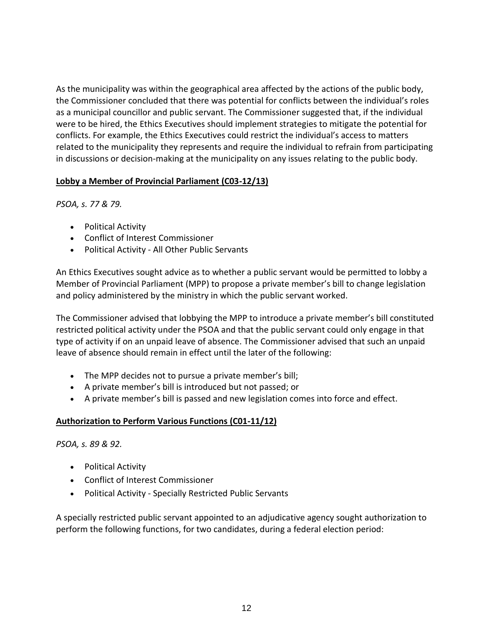As the municipality was within the geographical area affected by the actions of the public body, the Commissioner concluded that there was potential for conflicts between the individual's roles as a municipal councillor and public servant. The Commissioner suggested that, if the individual were to be hired, the Ethics Executives should implement strategies to mitigate the potential for conflicts. For example, the Ethics Executives could restrict the individual's access to matters related to the municipality they represents and require the individual to refrain from participating in discussions or decision-making at the municipality on any issues relating to the public body.

#### **Lobby a Member of Provincial Parliament (C03-12/13)**

*PSOA, s. 77 & 79.*

- [Political](http://www.coicommissioner.gov.on.ca/category/type-of-ethical-matter/political-activity/) Activity
- Conflict of Interest [Commissioner](http://www.coicommissioner.gov.on.ca/category/source-of-decision/conflict-of-interest-commissioner/)
- Political Activity All Other Public [Servants](http://www.coicommissioner.gov.on.ca/category/type-of-rule/political-activity-all-other-public-servants/)

An Ethics Executives sought advice as to whether a public servant would be permitted to lobby a Member of Provincial Parliament (MPP) to propose a private member's bill to change legislation and policy administered by the ministry in which the public servant worked.

The Commissioner advised that lobbying the MPP to introduce a private member's bill constituted restricted political activity under the PSOA and that the public servant could only engage in that type of activity if on an unpaid leave of absence. The Commissioner advised that such an unpaid leave of absence should remain in effect until the later of the following:

- The MPP decides not to pursue a private member's bill;
- A private member's bill is introduced but not passed; or
- A private member's bill is passed and new legislation comes into force and effect.

#### **Authorization to Perform Various Functions (C01-11/12)**

*PSOA, s. 89 & 92.*

- [Political](http://www.coicommissioner.gov.on.ca/category/type-of-ethical-matter/political-activity/) Activity
- Conflict of Interest [Commissioner](http://www.coicommissioner.gov.on.ca/category/source-of-decision/conflict-of-interest-commissioner/)
- Political Activity Specially [Restricted](http://www.coicommissioner.gov.on.ca/category/type-of-rule/political-activity-specially-restricted-public-servants/) Public Servants

A specially restricted public servant appointed to an adjudicative agency sought authorization to perform the following functions, for two candidates, during a federal election period: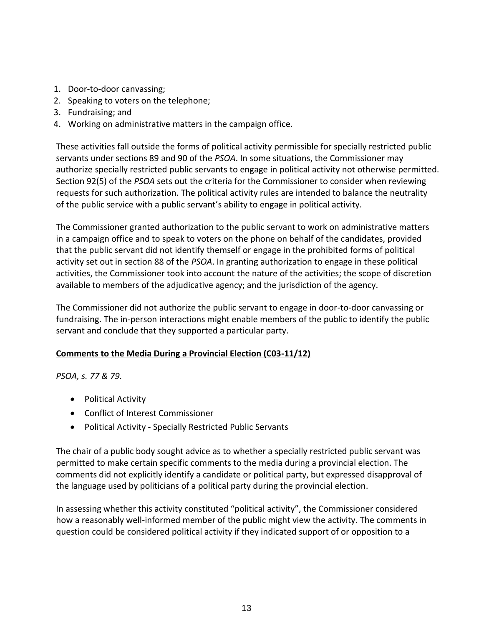- 1. Door-to-door canvassing;
- 2. Speaking to voters on the telephone;
- 3. Fundraising; and
- 4. Working on administrative matters in the campaign office.

These activities fall outside the forms of political activity permissible for specially restricted public servants under sections 89 and 90 of the *PSOA*. In some situations, the Commissioner may authorize specially restricted public servants to engage in political activity not otherwise permitted. Section 92(5) of the *PSOA* sets out the criteria for the Commissioner to consider when reviewing requests for such authorization. The political activity rules are intended to balance the neutrality of the public service with a public servant's ability to engage in political activity.

The Commissioner granted authorization to the public servant to work on administrative matters in a campaign office and to speak to voters on the phone on behalf of the candidates, provided that the public servant did not identify themself or engage in the prohibited forms of political activity set out in section 88 of the *PSOA*. In granting authorization to engage in these political activities, the Commissioner took into account the nature of the activities; the scope of discretion available to members of the adjudicative agency; and the jurisdiction of the agency.

The Commissioner did not authorize the public servant to engage in door-to-door canvassing or fundraising. The in-person interactions might enable members of the public to identify the public servant and conclude that they supported a particular party.

#### **Comments to the Media During a Provincial Election (C03-11/12)**

#### *PSOA, s. 77 & 79.*

- [Political](http://www.coicommissioner.gov.on.ca/category/type-of-ethical-matter/political-activity/) Activity
- Conflict of Interest [Commissioner](http://www.coicommissioner.gov.on.ca/category/source-of-decision/conflict-of-interest-commissioner/)
- Political Activity Specially [Restricted](http://www.coicommissioner.gov.on.ca/category/type-of-rule/political-activity-specially-restricted-public-servants/) Public Servants

The chair of a public body sought advice as to whether a specially restricted public servant was permitted to make certain specific comments to the media during a provincial election. The comments did not explicitly identify a candidate or political party, but expressed disapproval of the language used by politicians of a political party during the provincial election.

In assessing whether this activity constituted "political activity", the Commissioner considered how a reasonably well-informed member of the public might view the activity. The comments in question could be considered political activity if they indicated support of or opposition to a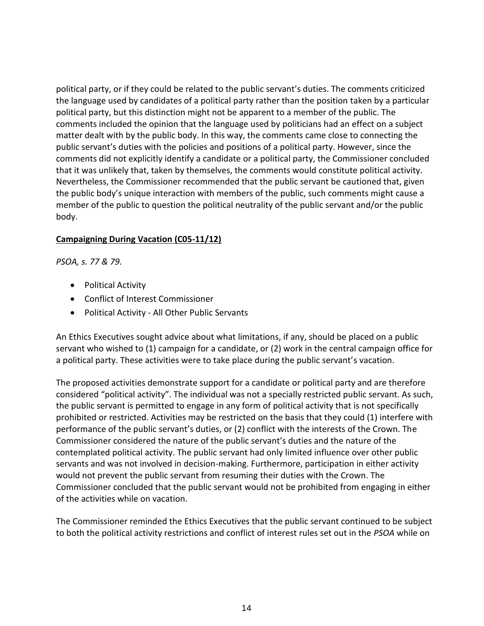political party, or if they could be related to the public servant's duties. The comments criticized the language used by candidates of a political party rather than the position taken by a particular political party, but this distinction might not be apparent to a member of the public. The comments included the opinion that the language used by politicians had an effect on a subject matter dealt with by the public body. In this way, the comments came close to connecting the public servant's duties with the policies and positions of a political party. However, since the comments did not explicitly identify a candidate or a political party, the Commissioner concluded that it was unlikely that, taken by themselves, the comments would constitute political activity. Nevertheless, the Commissioner recommended that the public servant be cautioned that, given the public body's unique interaction with members of the public, such comments might cause a member of the public to question the political neutrality of the public servant and/or the public body.

#### **Campaigning During Vacation (C05-11/12)**

*PSOA, s. 77 & 79.*

- [Political](http://www.coicommissioner.gov.on.ca/category/type-of-ethical-matter/political-activity/) Activity
- Conflict of Interest [Commissioner](http://www.coicommissioner.gov.on.ca/category/source-of-decision/conflict-of-interest-commissioner/)
- Political Activity All Other Public [Servants](http://www.coicommissioner.gov.on.ca/category/type-of-rule/political-activity-all-other-public-servants/)

An Ethics Executives sought advice about what limitations, if any, should be placed on a public servant who wished to (1) campaign for a candidate, or (2) work in the central campaign office for a political party. These activities were to take place during the public servant's vacation.

The proposed activities demonstrate support for a candidate or political party and are therefore considered "political activity". The individual was not a specially restricted public servant. As such, the public servant is permitted to engage in any form of political activity that is not specifically prohibited or restricted. Activities may be restricted on the basis that they could (1) interfere with performance of the public servant's duties, or (2) conflict with the interests of the Crown. The Commissioner considered the nature of the public servant's duties and the nature of the contemplated political activity. The public servant had only limited influence over other public servants and was not involved in decision-making. Furthermore, participation in either activity would not prevent the public servant from resuming their duties with the Crown. The Commissioner concluded that the public servant would not be prohibited from engaging in either of the activities while on vacation.

The Commissioner reminded the Ethics Executives that the public servant continued to be subject to both the political activity restrictions and conflict of interest rules set out in the *PSOA* while on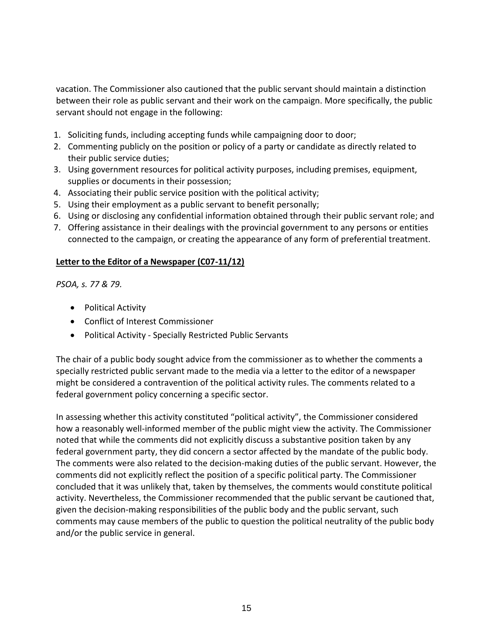vacation. The Commissioner also cautioned that the public servant should maintain a distinction between their role as public servant and their work on the campaign. More specifically, the public servant should not engage in the following:

- 1. Soliciting funds, including accepting funds while campaigning door to door;
- 2. Commenting publicly on the position or policy of a party or candidate as directly related to their public service duties;
- 3. Using government resources for political activity purposes, including premises, equipment, supplies or documents in their possession;
- 4. Associating their public service position with the political activity;
- 5. Using their employment as a public servant to benefit personally;
- 6. Using or disclosing any confidential information obtained through their public servant role; and
- 7. Offering assistance in their dealings with the provincial government to any persons or entities connected to the campaign, or creating the appearance of any form of preferential treatment.

#### **Letter to the Editor of a Newspaper (C07-11/12)**

*PSOA, s. 77 & 79.*

- [Political](http://www.coicommissioner.gov.on.ca/category/type-of-ethical-matter/political-activity/) Activity
- Conflict of Interest [Commissioner](http://www.coicommissioner.gov.on.ca/category/source-of-decision/conflict-of-interest-commissioner/)
- Political Activity Specially [Restricted](http://www.coicommissioner.gov.on.ca/category/type-of-rule/political-activity-specially-restricted-public-servants/) Public Servants

The chair of a public body sought advice from the commissioner as to whether the comments a specially restricted public servant made to the media via a letter to the editor of a newspaper might be considered a contravention of the political activity rules. The comments related to a federal government policy concerning a specific sector.

In assessing whether this activity constituted "political activity", the Commissioner considered how a reasonably well-informed member of the public might view the activity. The Commissioner noted that while the comments did not explicitly discuss a substantive position taken by any federal government party, they did concern a sector affected by the mandate of the public body. The comments were also related to the decision-making duties of the public servant. However, the comments did not explicitly reflect the position of a specific political party. The Commissioner concluded that it was unlikely that, taken by themselves, the comments would constitute political activity. Nevertheless, the Commissioner recommended that the public servant be cautioned that, given the decision-making responsibilities of the public body and the public servant, such comments may cause members of the public to question the political neutrality of the public body and/or the public service in general.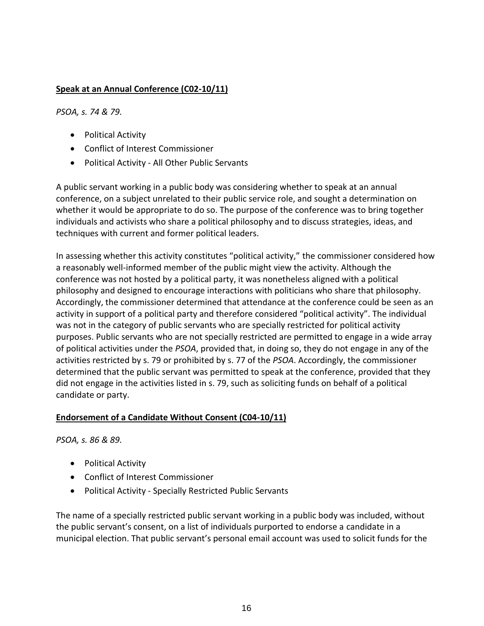## **Speak at an Annual Conference (C02-10/11)**

*PSOA, s. 74 & 79.*

- [Political](http://www.coicommissioner.gov.on.ca/category/type-of-ethical-matter/political-activity/) Activity
- Conflict of Interest [Commissioner](http://www.coicommissioner.gov.on.ca/category/source-of-decision/conflict-of-interest-commissioner/)
- Political Activity All Other Public [Servants](http://www.coicommissioner.gov.on.ca/category/type-of-rule/political-activity-all-other-public-servants/)

A public servant working in a public body was considering whether to speak at an annual conference, on a subject unrelated to their public service role, and sought a determination on whether it would be appropriate to do so. The purpose of the conference was to bring together individuals and activists who share a political philosophy and to discuss strategies, ideas, and techniques with current and former political leaders.

In assessing whether this activity constitutes "political activity," the commissioner considered how a reasonably well-informed member of the public might view the activity. Although the conference was not hosted by a political party, it was nonetheless aligned with a political philosophy and designed to encourage interactions with politicians who share that philosophy. Accordingly, the commissioner determined that attendance at the conference could be seen as an activity in support of a political party and therefore considered "political activity". The individual was not in the category of public servants who are specially restricted for political activity purposes. Public servants who are not specially restricted are permitted to engage in a wide array of political activities under the *PSOA*, provided that, in doing so, they do not engage in any of the activities restricted by s. 79 or prohibited by s. 77 of the *PSOA*. Accordingly, the commissioner determined that the public servant was permitted to speak at the conference, provided that they did not engage in the activities listed in s. 79, such as soliciting funds on behalf of a political candidate or party.

#### **Endorsement of a Candidate Without Consent (C04-10/11)**

*PSOA, s. 86 & 89.*

- [Political](http://www.coicommissioner.gov.on.ca/category/type-of-ethical-matter/political-activity/) Activity
- Conflict of Interest [Commissioner](http://www.coicommissioner.gov.on.ca/category/source-of-decision/conflict-of-interest-commissioner/)
- Political Activity Specially [Restricted](http://www.coicommissioner.gov.on.ca/category/type-of-rule/political-activity-specially-restricted-public-servants/) Public Servants

The name of a specially restricted public servant working in a public body was included, without the public servant's consent, on a list of individuals purported to endorse a candidate in a municipal election. That public servant's personal email account was used to solicit funds for the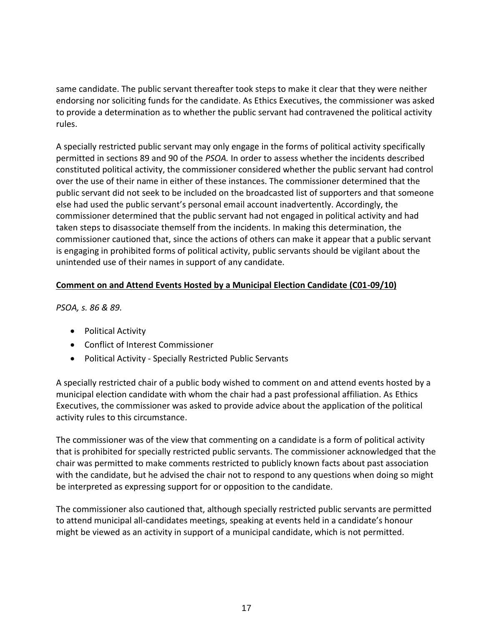same candidate. The public servant thereafter took steps to make it clear that they were neither endorsing nor soliciting funds for the candidate. As Ethics Executives, the commissioner was asked to provide a determination as to whether the public servant had contravened the political activity rules.

A specially restricted public servant may only engage in the forms of political activity specifically permitted in sections 89 and 90 of the *PSOA.* In order to assess whether the incidents described constituted political activity, the commissioner considered whether the public servant had control over the use of their name in either of these instances. The commissioner determined that the public servant did not seek to be included on the broadcasted list of supporters and that someone else had used the public servant's personal email account inadvertently. Accordingly, the commissioner determined that the public servant had not engaged in political activity and had taken steps to disassociate themself from the incidents. In making this determination, the commissioner cautioned that, since the actions of others can make it appear that a public servant is engaging in prohibited forms of political activity, public servants should be vigilant about the unintended use of their names in support of any candidate.

# **Comment on and Attend Events Hosted by a Municipal Election Candidate (C01-09/10)**

*PSOA, s. 86 & 89.*

- [Political](http://www.coicommissioner.gov.on.ca/category/type-of-ethical-matter/political-activity/) Activity
- Conflict of Interest [Commissioner](http://www.coicommissioner.gov.on.ca/category/source-of-decision/conflict-of-interest-commissioner/)
- Political Activity Specially [Restricted](http://www.coicommissioner.gov.on.ca/category/type-of-rule/political-activity-specially-restricted-public-servants/) Public Servants

A specially restricted chair of a public body wished to comment on and attend events hosted by a municipal election candidate with whom the chair had a past professional affiliation. As Ethics Executives, the commissioner was asked to provide advice about the application of the political activity rules to this circumstance.

The commissioner was of the view that commenting on a candidate is a form of political activity that is prohibited for specially restricted public servants. The commissioner acknowledged that the chair was permitted to make comments restricted to publicly known facts about past association with the candidate, but he advised the chair not to respond to any questions when doing so might be interpreted as expressing support for or opposition to the candidate.

The commissioner also cautioned that, although specially restricted public servants are permitted to attend municipal all-candidates meetings, speaking at events held in a candidate's honour might be viewed as an activity in support of a municipal candidate, which is not permitted.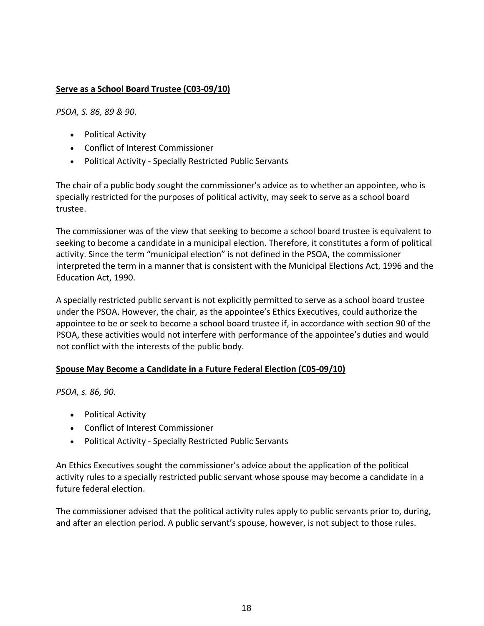## **Serve as a School Board Trustee (C03-09/10)**

*PSOA, S. 86, 89 & 90.*

- [Political](http://www.coicommissioner.gov.on.ca/category/type-of-ethical-matter/political-activity/) Activity
- Conflict of Interest [Commissioner](http://www.coicommissioner.gov.on.ca/category/source-of-decision/conflict-of-interest-commissioner/)
- Political Activity Specially [Restricted](http://www.coicommissioner.gov.on.ca/category/type-of-rule/political-activity-specially-restricted-public-servants/) Public Servants

The chair of a public body sought the commissioner's advice as to whether an appointee, who is specially restricted for the purposes of political activity, may seek to serve as a school board trustee.

The commissioner was of the view that seeking to become a school board trustee is equivalent to seeking to become a candidate in a municipal election. Therefore, it constitutes a form of political activity. Since the term "municipal election" is not defined in the PSOA, the commissioner interpreted the term in a manner that is consistent with the Municipal Elections Act, 1996 and the Education Act, 1990.

A specially restricted public servant is not explicitly permitted to serve as a school board trustee under the PSOA. However, the chair, as the appointee's Ethics Executives, could authorize the appointee to be or seek to become a school board trustee if, in accordance with section 90 of the PSOA, these activities would not interfere with performance of the appointee's duties and would not conflict with the interests of the public body.

#### **Spouse May Become a Candidate in a Future Federal Election (C05-09/10)**

*PSOA, s. 86, 90.*

- [Political](http://www.coicommissioner.gov.on.ca/category/type-of-ethical-matter/political-activity/) Activity
- Conflict of Interest [Commissioner](http://www.coicommissioner.gov.on.ca/category/source-of-decision/conflict-of-interest-commissioner/)
- Political Activity Specially [Restricted](http://www.coicommissioner.gov.on.ca/category/type-of-rule/political-activity-specially-restricted-public-servants/) Public Servants

An Ethics Executives sought the commissioner's advice about the application of the political activity rules to a specially restricted public servant whose spouse may become a candidate in a future federal election.

The commissioner advised that the political activity rules apply to public servants prior to, during, and after an election period. A public servant's spouse, however, is not subject to those rules.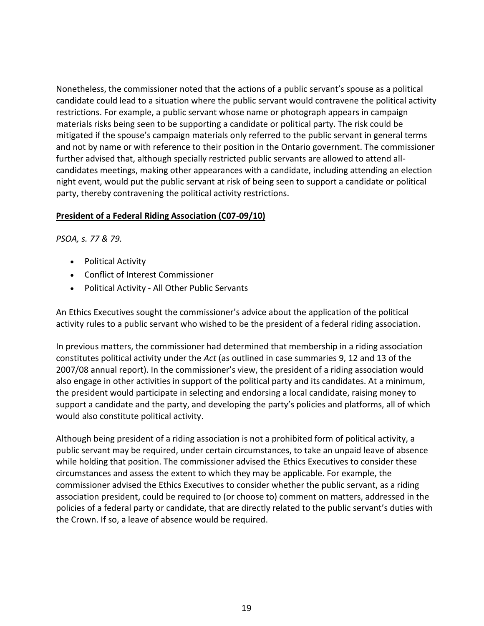Nonetheless, the commissioner noted that the actions of a public servant's spouse as a political candidate could lead to a situation where the public servant would contravene the political activity restrictions. For example, a public servant whose name or photograph appears in campaign materials risks being seen to be supporting a candidate or political party. The risk could be mitigated if the spouse's campaign materials only referred to the public servant in general terms and not by name or with reference to their position in the Ontario government. The commissioner further advised that, although specially restricted public servants are allowed to attend allcandidates meetings, making other appearances with a candidate, including attending an election night event, would put the public servant at risk of being seen to support a candidate or political party, thereby contravening the political activity restrictions.

#### **President of a Federal Riding Association (C07-09/10)**

*PSOA, s. 77 & 79.*

- [Political](http://www.coicommissioner.gov.on.ca/category/type-of-ethical-matter/political-activity/) Activity
- Conflict of Interest [Commissioner](http://www.coicommissioner.gov.on.ca/category/source-of-decision/conflict-of-interest-commissioner/)
- Political Activity All Other Public [Servants](http://www.coicommissioner.gov.on.ca/category/type-of-rule/political-activity-all-other-public-servants/)

An Ethics Executives sought the commissioner's advice about the application of the political activity rules to a public servant who wished to be the president of a federal riding association.

In previous matters, the commissioner had determined that membership in a riding association constitutes political activity under the *Act* (as outlined in case summaries 9, 12 and 13 of the 2007/08 annual report). In the commissioner's view, the president of a riding association would also engage in other activities in support of the political party and its candidates. At a minimum, the president would participate in selecting and endorsing a local candidate, raising money to support a candidate and the party, and developing the party's policies and platforms, all of which would also constitute political activity.

Although being president of a riding association is not a prohibited form of political activity, a public servant may be required, under certain circumstances, to take an unpaid leave of absence while holding that position. The commissioner advised the Ethics Executives to consider these circumstances and assess the extent to which they may be applicable. For example, the commissioner advised the Ethics Executives to consider whether the public servant, as a riding association president, could be required to (or choose to) comment on matters, addressed in the policies of a federal party or candidate, that are directly related to the public servant's duties with the Crown. If so, a leave of absence would be required.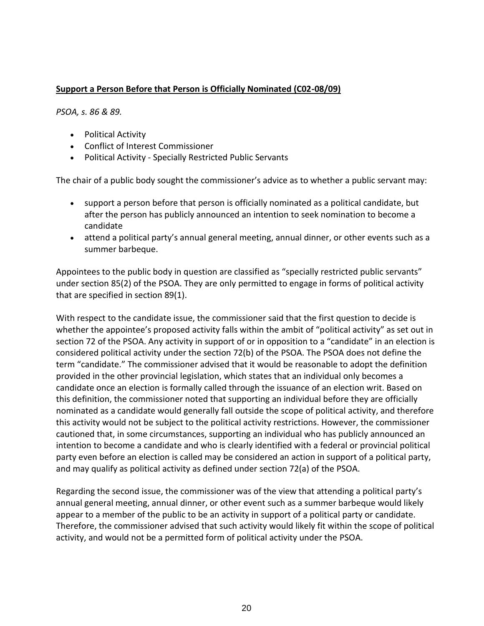#### **Support a Person Before that Person is Officially Nominated (C02-08/09)**

*PSOA, s. 86 & 89.*

- Political Activity
- Conflict of Interest Commissioner
- Political Activity Specially Restricted Public Servants

The chair of a public body sought the commissioner's advice as to whether a public servant may:

- support a person before that person is officially nominated as a political candidate, but after the person has publicly announced an intention to seek nomination to become a candidate
- attend a political party's annual general meeting, annual dinner, or other events such as a summer barbeque.

Appointees to the public body in question are classified as "specially restricted public servants" under section 85(2) of the PSOA. They are only permitted to engage in forms of political activity that are specified in section 89(1).

With respect to the candidate issue, the commissioner said that the first question to decide is whether the appointee's proposed activity falls within the ambit of "political activity" as set out in section 72 of the PSOA. Any activity in support of or in opposition to a "candidate" in an election is considered political activity under the section 72(b) of the PSOA. The PSOA does not define the term "candidate." The commissioner advised that it would be reasonable to adopt the definition provided in the other provincial legislation, which states that an individual only becomes a candidate once an election is formally called through the issuance of an election writ. Based on this definition, the commissioner noted that supporting an individual before they are officially nominated as a candidate would generally fall outside the scope of political activity, and therefore this activity would not be subject to the political activity restrictions. However, the commissioner cautioned that, in some circumstances, supporting an individual who has publicly announced an intention to become a candidate and who is clearly identified with a federal or provincial political party even before an election is called may be considered an action in support of a political party, and may qualify as political activity as defined under section 72(a) of the PSOA.

Regarding the second issue, the commissioner was of the view that attending a political party's annual general meeting, annual dinner, or other event such as a summer barbeque would likely appear to a member of the public to be an activity in support of a political party or candidate. Therefore, the commissioner advised that such activity would likely fit within the scope of political activity, and would not be a permitted form of political activity under the PSOA.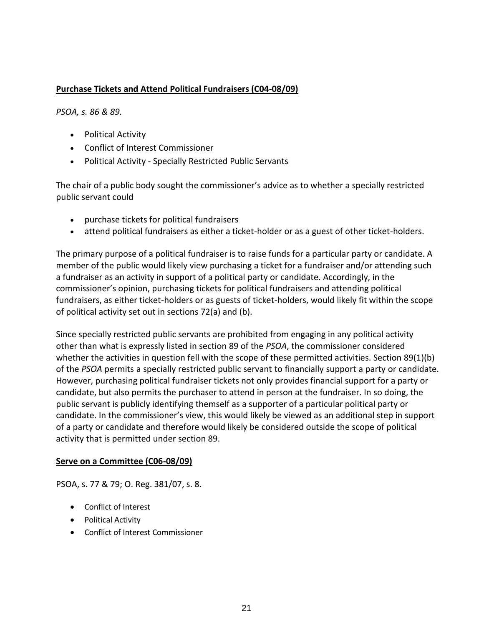## **Purchase Tickets and Attend Political Fundraisers (C04-08/09)**

*PSOA, s. 86 & 89.*

- [Political](http://www.coicommissioner.gov.on.ca/category/type-of-ethical-matter/political-activity/) Activity
- Conflict of Interest [Commissioner](http://www.coicommissioner.gov.on.ca/category/source-of-decision/conflict-of-interest-commissioner/)
- Political Activity Specially [Restricted](http://www.coicommissioner.gov.on.ca/category/type-of-rule/political-activity-specially-restricted-public-servants/) Public Servants

The chair of a public body sought the commissioner's advice as to whether a specially restricted public servant could

- purchase tickets for political fundraisers
- attend political fundraisers as either a ticket-holder or as a guest of other ticket-holders.

The primary purpose of a political fundraiser is to raise funds for a particular party or candidate. A member of the public would likely view purchasing a ticket for a fundraiser and/or attending such a fundraiser as an activity in support of a political party or candidate. Accordingly, in the commissioner's opinion, purchasing tickets for political fundraisers and attending political fundraisers, as either ticket-holders or as guests of ticket-holders, would likely fit within the scope of political activity set out in sections 72(a) and (b).

Since specially restricted public servants are prohibited from engaging in any political activity other than what is expressly listed in section 89 of the *PSOA*, the commissioner considered whether the activities in question fell with the scope of these permitted activities. Section 89(1)(b) of the *PSOA* permits a specially restricted public servant to financially support a party or candidate. However, purchasing political fundraiser tickets not only provides financial support for a party or candidate, but also permits the purchaser to attend in person at the fundraiser. In so doing, the public servant is publicly identifying themself as a supporter of a particular political party or candidate. In the commissioner's view, this would likely be viewed as an additional step in support of a party or candidate and therefore would likely be considered outside the scope of political activity that is permitted under section 89.

#### **Serve on a Committee (C06-08/09)**

PSOA, s. 77 & 79; O. Reg. 381/07, s. 8.

- Conflict of Interest
- Political Activity
- Conflict of Interest Commissioner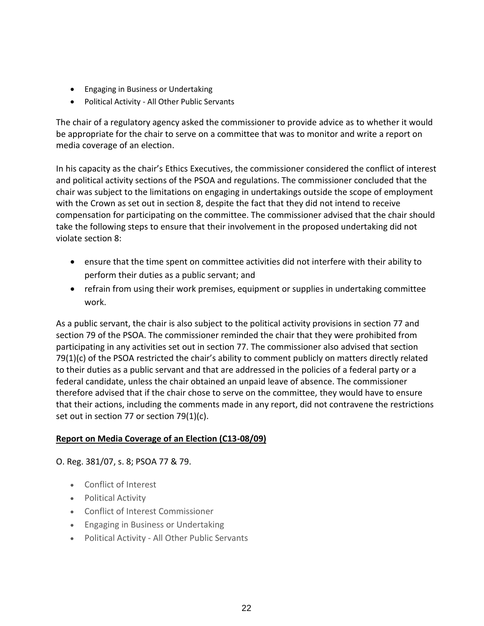- Engaging in Business or Undertaking
- Political Activity All Other Public Servants

The chair of a regulatory agency asked the commissioner to provide advice as to whether it would be appropriate for the chair to serve on a committee that was to monitor and write a report on media coverage of an election.

In his capacity as the chair's Ethics Executives, the commissioner considered the conflict of interest and political activity sections of the PSOA and regulations. The commissioner concluded that the chair was subject to the limitations on engaging in undertakings outside the scope of employment with the Crown as set out in section 8, despite the fact that they did not intend to receive compensation for participating on the committee. The commissioner advised that the chair should take the following steps to ensure that their involvement in the proposed undertaking did not violate section 8:

- ensure that the time spent on committee activities did not interfere with their ability to perform their duties as a public servant; and
- refrain from using their work premises, equipment or supplies in undertaking committee work.

As a public servant, the chair is also subject to the political activity provisions in section 77 and section 79 of the PSOA. The commissioner reminded the chair that they were prohibited from participating in any activities set out in section 77. The commissioner also advised that section 79(1)(c) of the PSOA restricted the chair's ability to comment publicly on matters directly related to their duties as a public servant and that are addressed in the policies of a federal party or a federal candidate, unless the chair obtained an unpaid leave of absence. The commissioner therefore advised that if the chair chose to serve on the committee, they would have to ensure that their actions, including the comments made in any report, did not contravene the restrictions set out in section 77 or section 79(1)(c).

#### **Report on Media Coverage of an Election (C13-08/09)**

O. Reg. 381/07, s. 8; PSOA 77 & 79.

- Conflict of [Interest](http://www.coicommissioner.gov.on.ca/category/type-of-ethical-matter/conflict-of-interest/)
- [Political](http://www.coicommissioner.gov.on.ca/category/type-of-ethical-matter/political-activity/) Activity
- Conflict of Interest [Commissioner](http://www.coicommissioner.gov.on.ca/category/source-of-decision/conflict-of-interest-commissioner/)
- Engaging in Business or [Undertaking](http://www.coicommissioner.gov.on.ca/category/type-of-rule/engaging-in-business-or-undertaking/)
- Political Activity All Other Public [Servants](http://www.coicommissioner.gov.on.ca/category/type-of-rule/political-activity-all-other-public-servants/)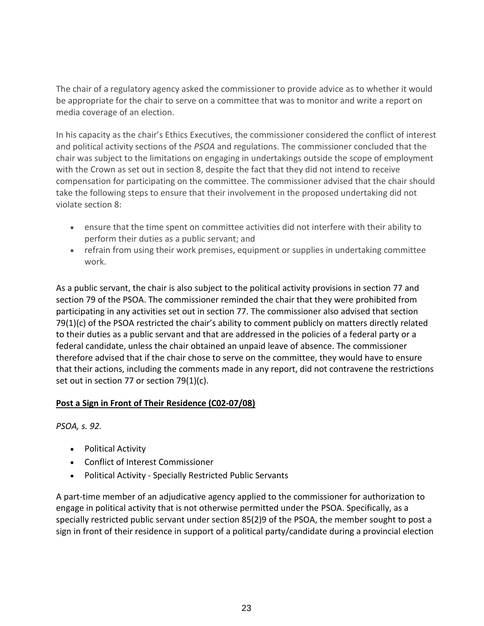The chair of a regulatory agency asked the commissioner to provide advice as to whether it would be appropriate for the chair to serve on a committee that was to monitor and write a report on media coverage of an election.

In his capacity as the chair's Ethics Executives, the commissioner considered the conflict of interest and political activity sections of the *PSOA* and regulations. The commissioner concluded that the chair was subject to the limitations on engaging in undertakings outside the scope of employment with the Crown as set out in section 8, despite the fact that they did not intend to receive compensation for participating on the committee. The commissioner advised that the chair should take the following steps to ensure that their involvement in the proposed undertaking did not violate section 8:

- ensure that the time spent on committee activities did not interfere with their ability to perform their duties as a public servant; and
- refrain from using their work premises, equipment or supplies in undertaking committee work.

As a public servant, the chair is also subject to the political activity provisions in section 77 and section 79 of the PSOA. The commissioner reminded the chair that they were prohibited from participating in any activities set out in section 77. The commissioner also advised that section 79(1)(c) of the PSOA restricted the chair's ability to comment publicly on matters directly related to their duties as a public servant and that are addressed in the policies of a federal party or a federal candidate, unless the chair obtained an unpaid leave of absence. The commissioner therefore advised that if the chair chose to serve on the committee, they would have to ensure that their actions, including the comments made in any report, did not contravene the restrictions set out in section 77 or section 79(1)(c).

#### **Post a Sign in Front of Their Residence (C02-07/08)**

*PSOA, s. 92.*

- [Political](http://www.coicommissioner.gov.on.ca/category/type-of-ethical-matter/political-activity/) Activity
- Conflict of Interest [Commissioner](http://www.coicommissioner.gov.on.ca/category/source-of-decision/conflict-of-interest-commissioner/)
- Political Activity Specially [Restricted](http://www.coicommissioner.gov.on.ca/category/type-of-rule/political-activity-specially-restricted-public-servants/) Public Servants

A part-time member of an adjudicative agency applied to the commissioner for authorization to engage in political activity that is not otherwise permitted under the PSOA. Specifically, as a specially restricted public servant under section 85(2)9 of the PSOA, the member sought to post a sign in front of their residence in support of a political party/candidate during a provincial election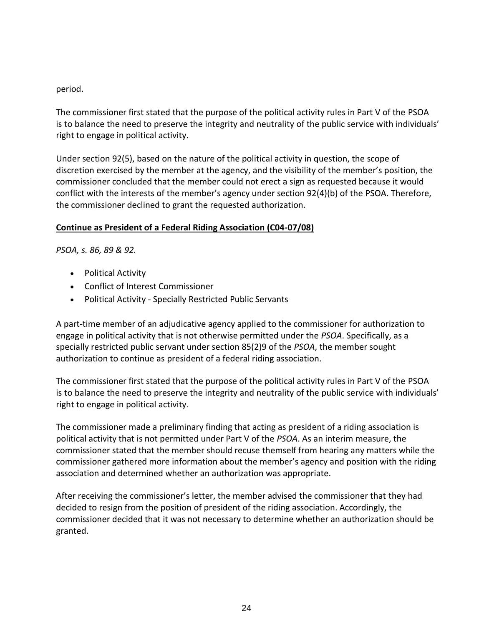## period.

The commissioner first stated that the purpose of the political activity rules in Part V of the PSOA is to balance the need to preserve the integrity and neutrality of the public service with individuals' right to engage in political activity.

Under section 92(5), based on the nature of the political activity in question, the scope of discretion exercised by the member at the agency, and the visibility of the member's position, the commissioner concluded that the member could not erect a sign as requested because it would conflict with the interests of the member's agency under section 92(4)(b) of the PSOA. Therefore, the commissioner declined to grant the requested authorization.

# **Continue as President of a Federal Riding Association (C04-07/08)**

*PSOA, s. 86, 89 & 92.*

- [Political](http://www.coicommissioner.gov.on.ca/category/type-of-ethical-matter/political-activity/) Activity
- Conflict of Interest [Commissioner](http://www.coicommissioner.gov.on.ca/category/source-of-decision/conflict-of-interest-commissioner/)
- Political Activity Specially [Restricted](http://www.coicommissioner.gov.on.ca/category/type-of-rule/political-activity-specially-restricted-public-servants/) Public Servants

A part-time member of an adjudicative agency applied to the commissioner for authorization to engage in political activity that is not otherwise permitted under the *PSOA*. Specifically, as a specially restricted public servant under section 85(2)9 of the *PSOA*, the member sought authorization to continue as president of a federal riding association.

The commissioner first stated that the purpose of the political activity rules in Part V of the PSOA is to balance the need to preserve the integrity and neutrality of the public service with individuals' right to engage in political activity.

The commissioner made a preliminary finding that acting as president of a riding association is political activity that is not permitted under Part V of the *PSOA*. As an interim measure, the commissioner stated that the member should recuse themself from hearing any matters while the commissioner gathered more information about the member's agency and position with the riding association and determined whether an authorization was appropriate.

After receiving the commissioner's letter, the member advised the commissioner that they had decided to resign from the position of president of the riding association. Accordingly, the commissioner decided that it was not necessary to determine whether an authorization should be granted.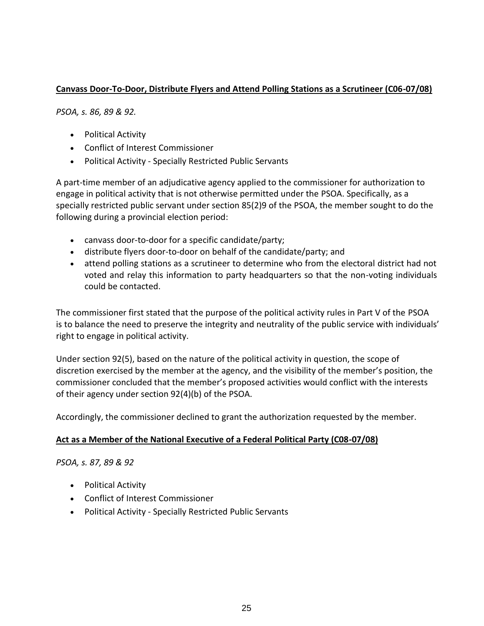# **Canvass Door-To-Door, Distribute Flyers and Attend Polling Stations as a Scrutineer (C06-07/08)**

*PSOA, s. 86, 89 & 92.*

- [Political](http://www.coicommissioner.gov.on.ca/category/type-of-ethical-matter/political-activity/) Activity
- Conflict of Interest [Commissioner](http://www.coicommissioner.gov.on.ca/category/source-of-decision/conflict-of-interest-commissioner/)
- Political Activity Specially [Restricted](http://www.coicommissioner.gov.on.ca/category/type-of-rule/political-activity-specially-restricted-public-servants/) Public Servants

A part-time member of an adjudicative agency applied to the commissioner for authorization to engage in political activity that is not otherwise permitted under the PSOA. Specifically, as a specially restricted public servant under section 85(2)9 of the PSOA, the member sought to do the following during a provincial election period:

- canvass door-to-door for a specific candidate/party;
- distribute flyers door-to-door on behalf of the candidate/party; and
- attend polling stations as a scrutineer to determine who from the electoral district had not voted and relay this information to party headquarters so that the non-voting individuals could be contacted.

The commissioner first stated that the purpose of the political activity rules in Part V of the PSOA is to balance the need to preserve the integrity and neutrality of the public service with individuals' right to engage in political activity.

Under section 92(5), based on the nature of the political activity in question, the scope of discretion exercised by the member at the agency, and the visibility of the member's position, the commissioner concluded that the member's proposed activities would conflict with the interests of their agency under section 92(4)(b) of the PSOA.

Accordingly, the commissioner declined to grant the authorization requested by the member.

#### **Act as a Member of the National Executive of a Federal Political Party (C08-07/08)**

*PSOA, s. 87, 89 & 92*

- [Political](http://www.coicommissioner.gov.on.ca/category/type-of-ethical-matter/political-activity/) Activity
- Conflict of Interest [Commissioner](http://www.coicommissioner.gov.on.ca/category/source-of-decision/conflict-of-interest-commissioner/)
- Political Activity Specially [Restricted](http://www.coicommissioner.gov.on.ca/category/type-of-rule/political-activity-specially-restricted-public-servants/) Public Servants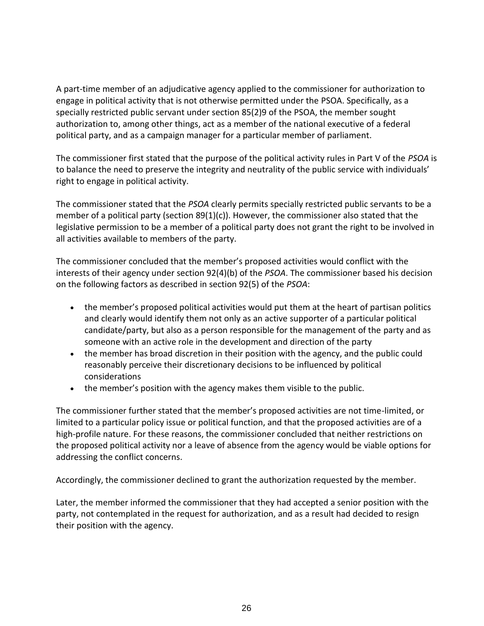A part-time member of an adjudicative agency applied to the commissioner for authorization to engage in political activity that is not otherwise permitted under the PSOA. Specifically, as a specially restricted public servant under section 85(2)9 of the PSOA, the member sought authorization to, among other things, act as a member of the national executive of a federal political party, and as a campaign manager for a particular member of parliament.

The commissioner first stated that the purpose of the political activity rules in Part V of the *PSOA* is to balance the need to preserve the integrity and neutrality of the public service with individuals' right to engage in political activity.

The commissioner stated that the *PSOA* clearly permits specially restricted public servants to be a member of a political party (section  $89(1)(c)$ ). However, the commissioner also stated that the legislative permission to be a member of a political party does not grant the right to be involved in all activities available to members of the party.

The commissioner concluded that the member's proposed activities would conflict with the interests of their agency under section 92(4)(b) of the *PSOA*. The commissioner based his decision on the following factors as described in section 92(5) of the *PSOA*:

- the member's proposed political activities would put them at the heart of partisan politics and clearly would identify them not only as an active supporter of a particular political candidate/party, but also as a person responsible for the management of the party and as someone with an active role in the development and direction of the party
- the member has broad discretion in their position with the agency, and the public could reasonably perceive their discretionary decisions to be influenced by political considerations
- the member's position with the agency makes them visible to the public.

The commissioner further stated that the member's proposed activities are not time-limited, or limited to a particular policy issue or political function, and that the proposed activities are of a high-profile nature. For these reasons, the commissioner concluded that neither restrictions on the proposed political activity nor a leave of absence from the agency would be viable options for addressing the conflict concerns.

Accordingly, the commissioner declined to grant the authorization requested by the member.

Later, the member informed the commissioner that they had accepted a senior position with the party, not contemplated in the request for authorization, and as a result had decided to resign their position with the agency.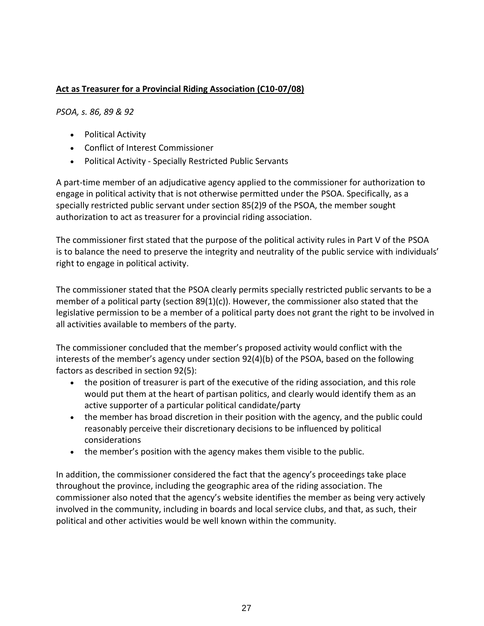# **Act as Treasurer for a Provincial Riding Association (C10-07/08)**

*PSOA, s. 86, 89 & 92*

- [Political](http://www.coicommissioner.gov.on.ca/category/type-of-ethical-matter/political-activity/) Activity
- Conflict of Interest [Commissioner](http://www.coicommissioner.gov.on.ca/category/source-of-decision/conflict-of-interest-commissioner/)
- Political Activity Specially [Restricted](http://www.coicommissioner.gov.on.ca/category/type-of-rule/political-activity-specially-restricted-public-servants/) Public Servants

A part-time member of an adjudicative agency applied to the commissioner for authorization to engage in political activity that is not otherwise permitted under the PSOA. Specifically, as a specially restricted public servant under section 85(2)9 of the PSOA, the member sought authorization to act as treasurer for a provincial riding association.

The commissioner first stated that the purpose of the political activity rules in Part V of the PSOA is to balance the need to preserve the integrity and neutrality of the public service with individuals' right to engage in political activity.

The commissioner stated that the PSOA clearly permits specially restricted public servants to be a member of a political party (section 89(1)(c)). However, the commissioner also stated that the legislative permission to be a member of a political party does not grant the right to be involved in all activities available to members of the party.

The commissioner concluded that the member's proposed activity would conflict with the interests of the member's agency under section 92(4)(b) of the PSOA, based on the following factors as described in section 92(5):

- the position of treasurer is part of the executive of the riding association, and this role would put them at the heart of partisan politics, and clearly would identify them as an active supporter of a particular political candidate/party
- the member has broad discretion in their position with the agency, and the public could reasonably perceive their discretionary decisions to be influenced by political considerations
- the member's position with the agency makes them visible to the public.

In addition, the commissioner considered the fact that the agency's proceedings take place throughout the province, including the geographic area of the riding association. The commissioner also noted that the agency's website identifies the member as being very actively involved in the community, including in boards and local service clubs, and that, as such, their political and other activities would be well known within the community.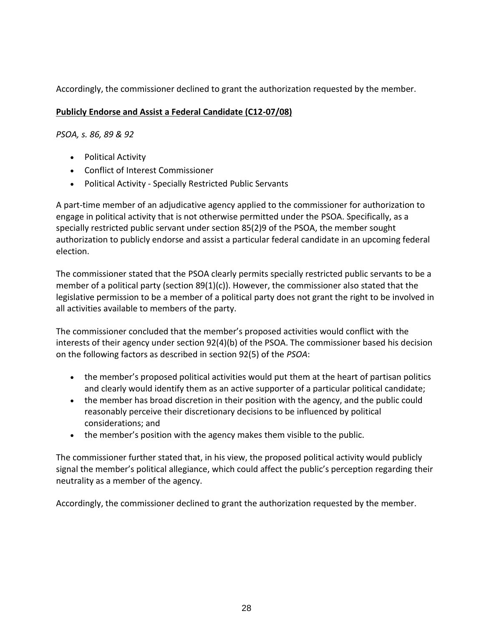Accordingly, the commissioner declined to grant the authorization requested by the member.

## **Publicly Endorse and Assist a Federal Candidate (C12-07/08)**

# *PSOA, s. 86, 89 & 92*

- [Political](http://www.coicommissioner.gov.on.ca/category/type-of-ethical-matter/political-activity/) Activity
- Conflict of Interest [Commissioner](http://www.coicommissioner.gov.on.ca/category/source-of-decision/conflict-of-interest-commissioner/)
- Political Activity Specially [Restricted](http://www.coicommissioner.gov.on.ca/category/type-of-rule/political-activity-specially-restricted-public-servants/) Public Servants

A part-time member of an adjudicative agency applied to the commissioner for authorization to engage in political activity that is not otherwise permitted under the PSOA. Specifically, as a specially restricted public servant under section 85(2)9 of the PSOA, the member sought authorization to publicly endorse and assist a particular federal candidate in an upcoming federal election.

The commissioner stated that the PSOA clearly permits specially restricted public servants to be a member of a political party (section  $89(1)(c)$ ). However, the commissioner also stated that the legislative permission to be a member of a political party does not grant the right to be involved in all activities available to members of the party.

The commissioner concluded that the member's proposed activities would conflict with the interests of their agency under section 92(4)(b) of the PSOA. The commissioner based his decision on the following factors as described in section 92(5) of the *PSOA*:

- the member's proposed political activities would put them at the heart of partisan politics and clearly would identify them as an active supporter of a particular political candidate;
- the member has broad discretion in their position with the agency, and the public could reasonably perceive their discretionary decisions to be influenced by political considerations; and
- the member's position with the agency makes them visible to the public.

The commissioner further stated that, in his view, the proposed political activity would publicly signal the member's political allegiance, which could affect the public's perception regarding their neutrality as a member of the agency.

Accordingly, the commissioner declined to grant the authorization requested by the member.